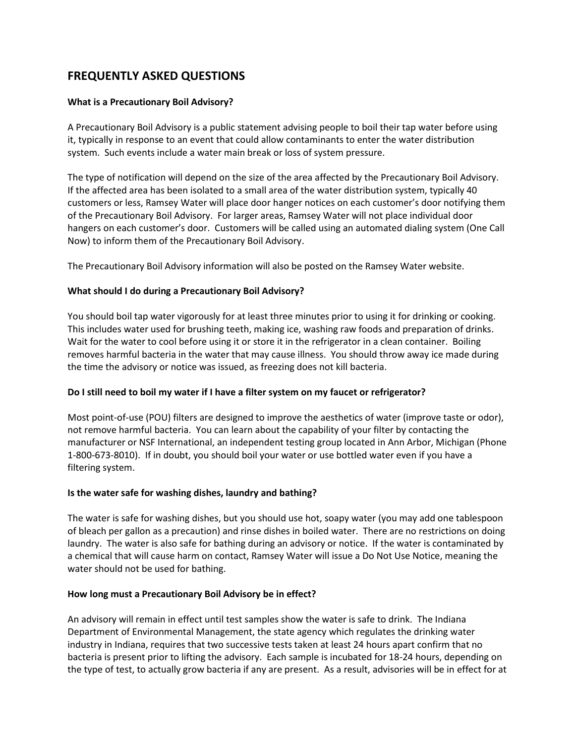# **FREQUENTLY ASKED QUESTIONS**

## **What is a Precautionary Boil Advisory?**

A Precautionary Boil Advisory is a public statement advising people to boil their tap water before using it, typically in response to an event that could allow contaminants to enter the water distribution system. Such events include a water main break or loss of system pressure.

The type of notification will depend on the size of the area affected by the Precautionary Boil Advisory. If the affected area has been isolated to a small area of the water distribution system, typically 40 customers or less, Ramsey Water will place door hanger notices on each customer's door notifying them of the Precautionary Boil Advisory. For larger areas, Ramsey Water will not place individual door hangers on each customer's door. Customers will be called using an automated dialing system (One Call Now) to inform them of the Precautionary Boil Advisory.

The Precautionary Boil Advisory information will also be posted on the Ramsey Water website.

#### **What should I do during a Precautionary Boil Advisory?**

You should boil tap water vigorously for at least three minutes prior to using it for drinking or cooking. This includes water used for brushing teeth, making ice, washing raw foods and preparation of drinks. Wait for the water to cool before using it or store it in the refrigerator in a clean container. Boiling removes harmful bacteria in the water that may cause illness. You should throw away ice made during the time the advisory or notice was issued, as freezing does not kill bacteria.

#### **Do I still need to boil my water if I have a filter system on my faucet or refrigerator?**

Most point-of-use (POU) filters are designed to improve the aesthetics of water (improve taste or odor), not remove harmful bacteria. You can learn about the capability of your filter by contacting the manufacturer or NSF International, an independent testing group located in Ann Arbor, Michigan (Phone 1-800-673-8010). If in doubt, you should boil your water or use bottled water even if you have a filtering system.

#### **Is the water safe for washing dishes, laundry and bathing?**

The water is safe for washing dishes, but you should use hot, soapy water (you may add one tablespoon of bleach per gallon as a precaution) and rinse dishes in boiled water. There are no restrictions on doing laundry. The water is also safe for bathing during an advisory or notice. If the water is contaminated by a chemical that will cause harm on contact, Ramsey Water will issue a Do Not Use Notice, meaning the water should not be used for bathing.

#### **How long must a Precautionary Boil Advisory be in effect?**

An advisory will remain in effect until test samples show the water is safe to drink. The Indiana Department of Environmental Management, the state agency which regulates the drinking water industry in Indiana, requires that two successive tests taken at least 24 hours apart confirm that no bacteria is present prior to lifting the advisory. Each sample is incubated for 18-24 hours, depending on the type of test, to actually grow bacteria if any are present. As a result, advisories will be in effect for at